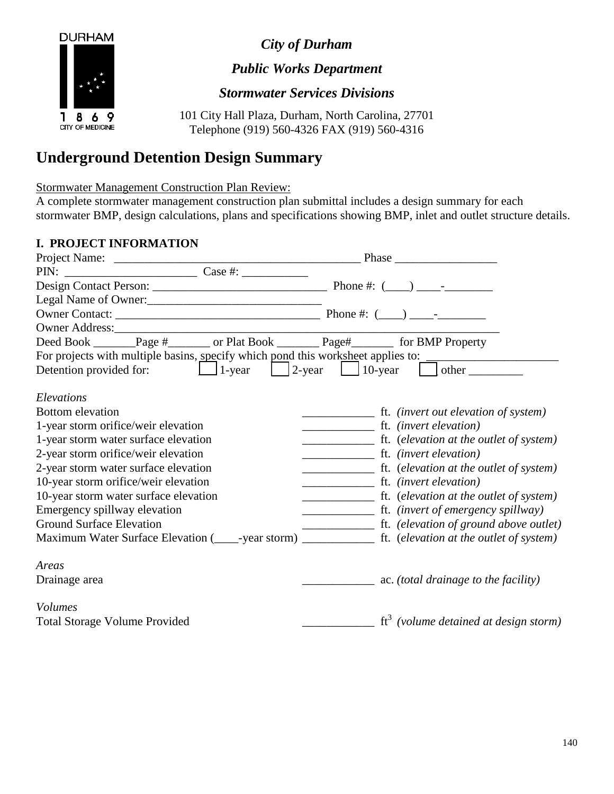*City of Durham*



*Public Works Department*

*Stormwater Services Divisions*

101 City Hall Plaza, Durham, North Carolina, 27701 Telephone (919) 560-4326 FAX (919) 560-4316

## **Underground Detention Design Summary**

Stormwater Management Construction Plan Review:

A complete stormwater management construction plan submittal includes a design summary for each stormwater BMP, design calculations, plans and specifications showing BMP, inlet and outlet structure details.

## **I. PROJECT INFORMATION**

| $PIN:$ $\csc \#:$                                                                      |                                                                                                                                                                                                                                                                                                                                                                                                                                   |
|----------------------------------------------------------------------------------------|-----------------------------------------------------------------------------------------------------------------------------------------------------------------------------------------------------------------------------------------------------------------------------------------------------------------------------------------------------------------------------------------------------------------------------------|
|                                                                                        |                                                                                                                                                                                                                                                                                                                                                                                                                                   |
| Legal Name of Owner:                                                                   |                                                                                                                                                                                                                                                                                                                                                                                                                                   |
|                                                                                        |                                                                                                                                                                                                                                                                                                                                                                                                                                   |
|                                                                                        |                                                                                                                                                                                                                                                                                                                                                                                                                                   |
| Deed Book _______Page #________ or Plat Book _________Page#__________ for BMP Property |                                                                                                                                                                                                                                                                                                                                                                                                                                   |
| For projects with multiple basins, specify which pond this worksheet applies to:       |                                                                                                                                                                                                                                                                                                                                                                                                                                   |
| Detention provided for: $\Box$ 1-year $\Box$ 2-year $\Box$ 10-year $\Box$ other $\Box$ |                                                                                                                                                                                                                                                                                                                                                                                                                                   |
|                                                                                        |                                                                                                                                                                                                                                                                                                                                                                                                                                   |
| Elevations                                                                             |                                                                                                                                                                                                                                                                                                                                                                                                                                   |
| <b>Bottom</b> elevation                                                                |                                                                                                                                                                                                                                                                                                                                                                                                                                   |
| 1-year storm orifice/weir elevation                                                    |                                                                                                                                                                                                                                                                                                                                                                                                                                   |
| 1-year storm water surface elevation                                                   | $\frac{1}{\sqrt{1-\frac{1}{\sqrt{1-\frac{1}{\sqrt{1-\frac{1}{\sqrt{1-\frac{1}{\sqrt{1-\frac{1}{\sqrt{1-\frac{1}{\sqrt{1-\frac{1}{\sqrt{1-\frac{1}{\sqrt{1-\frac{1}{\sqrt{1-\frac{1}{\sqrt{1-\frac{1}{\sqrt{1-\frac{1}{\sqrt{1-\frac{1}{\sqrt{1-\frac{1}{\sqrt{1-\frac{1}{\sqrt{1-\frac{1}{\sqrt{1-\frac{1}{\sqrt{1-\frac{1}{\sqrt{1-\frac{1}{\sqrt{1-\frac{1}{\sqrt{1-\frac{1}{\sqrt{1-\frac{1}{\sqrt{1-\frac{1}{\sqrt{1-\frac{1$ |
| 2-year storm orifice/weir elevation                                                    |                                                                                                                                                                                                                                                                                                                                                                                                                                   |
| 2-year storm water surface elevation                                                   |                                                                                                                                                                                                                                                                                                                                                                                                                                   |
| 10-year storm orifice/weir elevation                                                   | ft. (invert elevation)                                                                                                                                                                                                                                                                                                                                                                                                            |
| 10-year storm water surface elevation                                                  |                                                                                                                                                                                                                                                                                                                                                                                                                                   |
| Emergency spillway elevation                                                           |                                                                                                                                                                                                                                                                                                                                                                                                                                   |
| <b>Ground Surface Elevation</b>                                                        |                                                                                                                                                                                                                                                                                                                                                                                                                                   |
|                                                                                        |                                                                                                                                                                                                                                                                                                                                                                                                                                   |
| Areas                                                                                  |                                                                                                                                                                                                                                                                                                                                                                                                                                   |
| Drainage area                                                                          | ac. (total drainage to the facility)                                                                                                                                                                                                                                                                                                                                                                                              |
| <i>Volumes</i>                                                                         |                                                                                                                                                                                                                                                                                                                                                                                                                                   |
| <b>Total Storage Volume Provided</b>                                                   | $\text{ft}^3$ (volume detained at design storm)                                                                                                                                                                                                                                                                                                                                                                                   |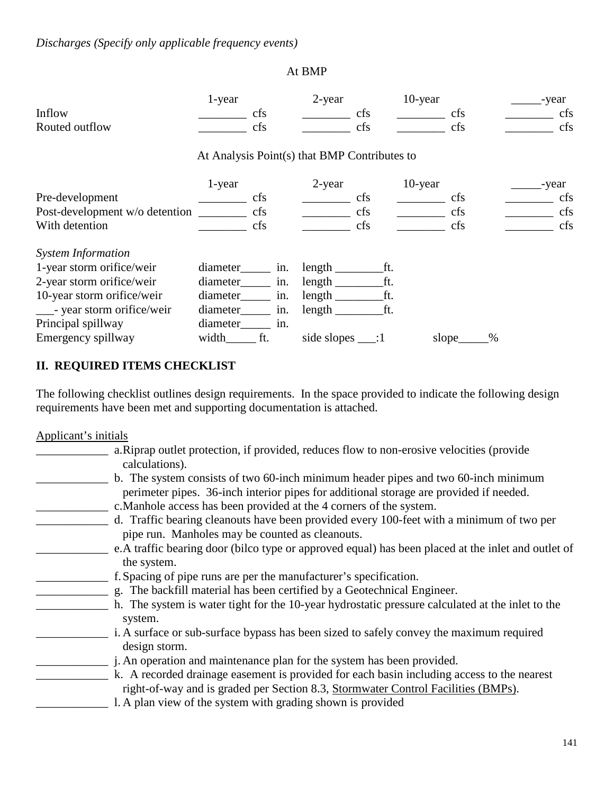## At BMP

|                                | 1-year                                       |     | $2$ -year   |           | 10-year |       |   | -year |
|--------------------------------|----------------------------------------------|-----|-------------|-----------|---------|-------|---|-------|
| Inflow                         |                                              | cfs |             | cfs       |         | cfs   |   | cfs   |
| Routed outflow                 |                                              | cfs |             | cfs       |         | cfs   |   | cfs   |
|                                | At Analysis Point(s) that BMP Contributes to |     |             |           |         |       |   |       |
|                                | 1-year                                       |     | 2-year      |           | 10-year |       |   | -year |
| Pre-development                |                                              | cfs |             | cfs       |         | cfs   |   | cfs   |
| Post-development w/o detention |                                              | cfs |             | cfs       |         | cfs   |   | cfs   |
| With detention                 |                                              | cfs |             | cfs       |         | cfs   |   | cfs   |
| <b>System Information</b>      |                                              |     |             |           |         |       |   |       |
| 1-year storm orifice/weir      | diameter                                     | in. | length      | ft.       |         |       |   |       |
| 2-year storm orifice/weir      | diameter                                     | in. | length      | ft.       |         |       |   |       |
| 10-year storm orifice/weir     | diameter                                     | in. | $length_$   | ft.       |         |       |   |       |
| - year storm orifice/weir      | diameter                                     | in. | length _    | ft.       |         |       |   |       |
| Principal spillway             | diameter                                     | in. |             |           |         |       |   |       |
| Emergency spillway             | width                                        | ft. | side slopes | $\cdot$ 1 |         | slope | % |       |

## **II. REQUIRED ITEMS CHECKLIST**

The following checklist outlines design requirements. In the space provided to indicate the following design requirements have been met and supporting documentation is attached.

Applicant's initials

| a. Riprap outlet protection, if provided, reduces flow to non-erosive velocities (provide           |
|-----------------------------------------------------------------------------------------------------|
| calculations).                                                                                      |
| b. The system consists of two 60-inch minimum header pipes and two 60-inch minimum                  |
| perimeter pipes. 36-inch interior pipes for additional storage are provided if needed.              |
| c. Manhole access has been provided at the 4 corners of the system.                                 |
| d. Traffic bearing cleanouts have been provided every 100-feet with a minimum of two per            |
| pipe run. Manholes may be counted as cleanouts.                                                     |
| e. A traffic bearing door (bilco type or approved equal) has been placed at the inlet and outlet of |
| the system.                                                                                         |
| f. Spacing of pipe runs are per the manufacturer's specification.                                   |
| g. The backfill material has been certified by a Geotechnical Engineer.                             |
| h. The system is water tight for the 10-year hydrostatic pressure calculated at the inlet to the    |
| system.                                                                                             |
| i. A surface or sub-surface bypass has been sized to safely convey the maximum required             |
| design storm.                                                                                       |
| j. An operation and maintenance plan for the system has been provided.                              |
| k. A recorded drainage easement is provided for each basin including access to the nearest          |
| right-of-way and is graded per Section 8.3, Stormwater Control Facilities (BMPs).                   |
| l. A plan view of the system with grading shown is provided                                         |